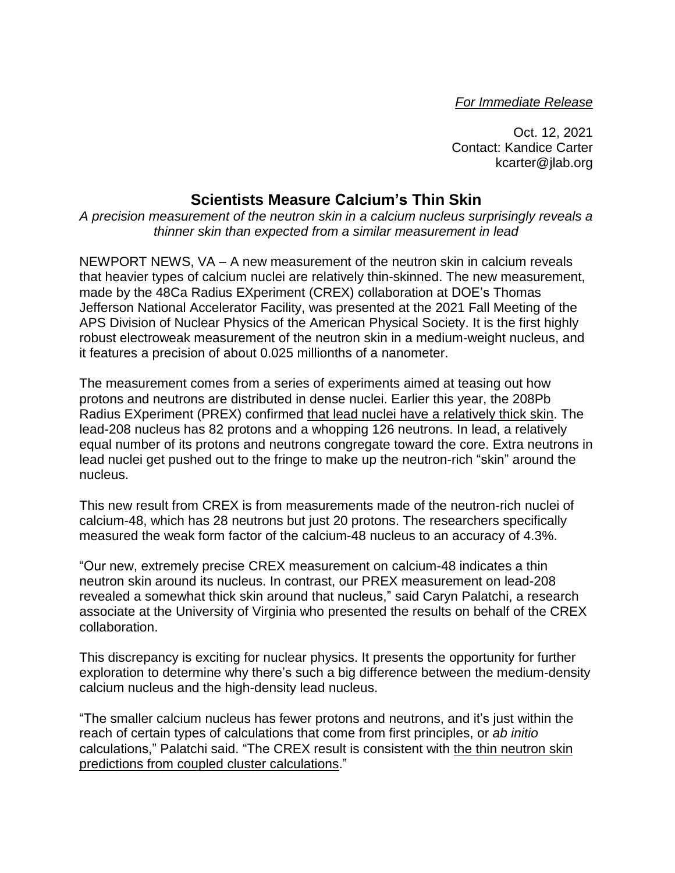*For Immediate Release*

Oct. 12, 2021 Contact: Kandice Carter kcarter@jlab.org

## **Scientists Measure Calcium's Thin Skin**

*A precision measurement of the neutron skin in a calcium nucleus surprisingly reveals a thinner skin than expected from a similar measurement in lead*

NEWPORT NEWS, VA – A new measurement of the neutron skin in calcium reveals that heavier types of calcium nuclei are relatively thin-skinned. The new measurement, made by the 48Ca Radius EXperiment (CREX) collaboration at DOE's Thomas Jefferson National Accelerator Facility, was presented at the 2021 Fall Meeting of the APS Division of Nuclear Physics of the American Physical Society. It is the first highly robust electroweak measurement of the neutron skin in a medium-weight nucleus, and it features a precision of about 0.025 millionths of a nanometer.

The measurement comes from a series of experiments aimed at teasing out how protons and neutrons are distributed in dense nuclei. Earlier this year, the 208Pb Radius EXperiment (PREX) confirmed that lead nuclei have a [relatively](https://www.jlab.org/news/releases/physicists-net-neutron-star-gold-measurement-lead) thick skin. The lead-208 nucleus has 82 protons and a whopping 126 neutrons. In lead, a relatively equal number of its protons and neutrons congregate toward the core. Extra neutrons in lead nuclei get pushed out to the fringe to make up the neutron-rich "skin" around the nucleus.

This new result from CREX is from measurements made of the neutron-rich nuclei of calcium-48, which has 28 neutrons but just 20 protons. The researchers specifically measured the weak form factor of the calcium-48 nucleus to an accuracy of 4.3%.

"Our new, extremely precise CREX measurement on calcium-48 indicates a thin neutron skin around its nucleus. In contrast, our PREX measurement on lead-208 revealed a somewhat thick skin around that nucleus," said Caryn Palatchi, a research associate at the University of Virginia who presented the results on behalf of the CREX collaboration.

This discrepancy is exciting for nuclear physics. It presents the opportunity for further exploration to determine why there's such a big difference between the medium-density calcium nucleus and the high-density lead nucleus.

"The smaller calcium nucleus has fewer protons and neutrons, and it's just within the reach of certain types of calculations that come from first principles, or *ab initio* calculations," Palatchi said. "The CREX result is consistent with the thin [neutron](https://arxiv.org/pdf/1312.7872.pdf) skin predictions from coupled cluster [calculations.](https://arxiv.org/pdf/1312.7872.pdf)"